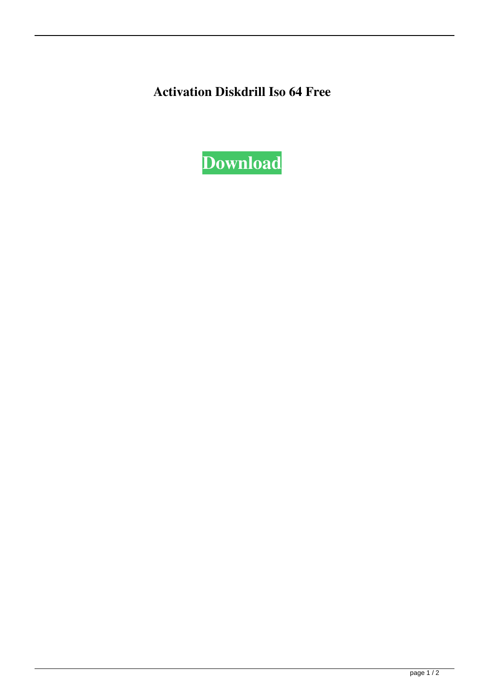**Activation Diskdrill Iso 64 Free**